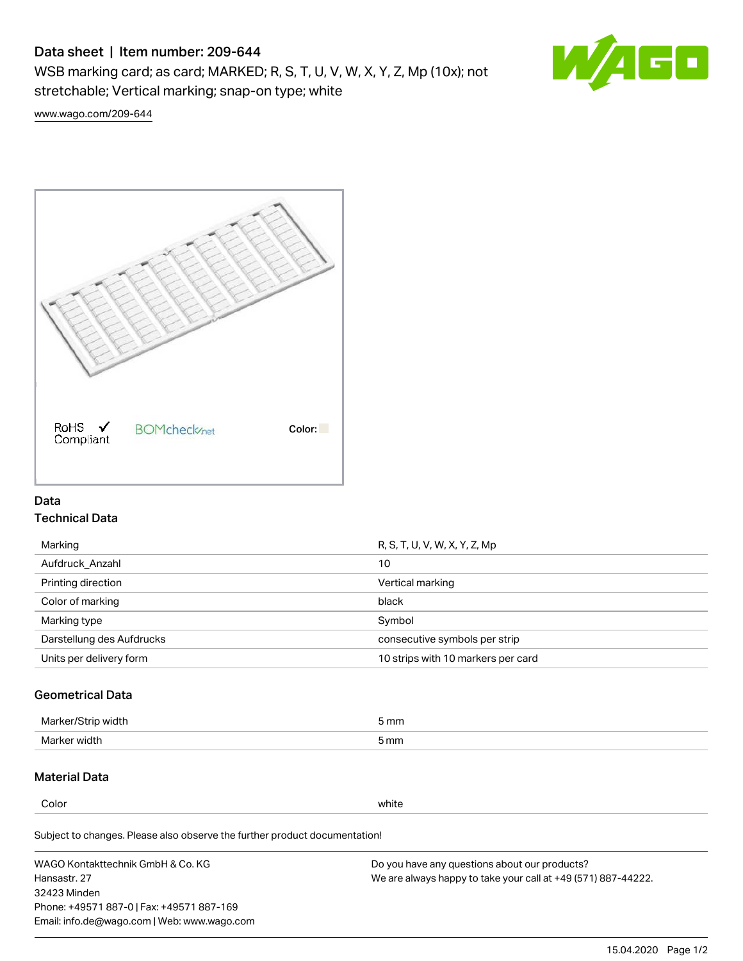# Data sheet | Item number: 209-644

WSB marking card; as card; MARKED; R, S, T, U, V, W, X, Y, Z, Mp (10x); not stretchable; Vertical marking; snap-on type; white



[www.wago.com/209-644](http://www.wago.com/209-644)



## Data Technical Data

| Marking                   | R, S, T, U, V, W, X, Y, Z, Mp      |
|---------------------------|------------------------------------|
| Aufdruck Anzahl           | 10                                 |
| Printing direction        | Vertical marking                   |
| Color of marking          | black                              |
| Marking type              | Symbol                             |
| Darstellung des Aufdrucks | consecutive symbols per strip      |
| Units per delivery form   | 10 strips with 10 markers per card |

## Geometrical Data

| طلقاء ئ<br><b>Marker</b><br>widtr | ັກmm |
|-----------------------------------|------|
| Marker width                      | 5 mm |

## Material Data

Color white

Subject to changes. Please also observe the further product documentation!

WAGO Kontakttechnik GmbH & Co. KG Hansastr. 27 32423 Minden Phone: +49571 887-0 | Fax: +49571 887-169 Email: info.de@wago.com | Web: www.wago.com Do you have any questions about our products? We are always happy to take your call at +49 (571) 887-44222.